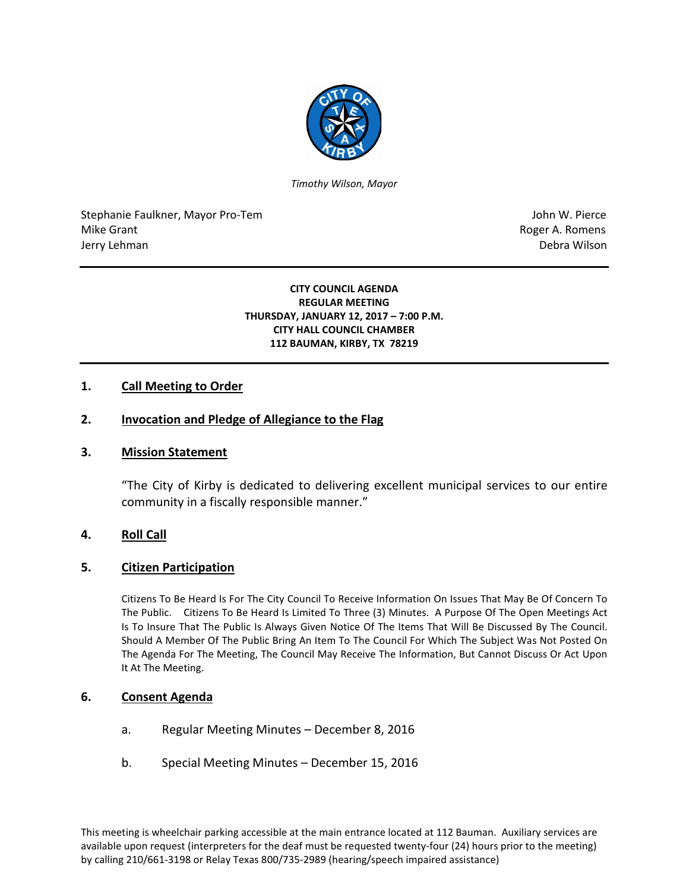

*Timothy Wilson, Mayor*

Stephanie Faulkner, Mayor Pro-Tem John W. Pierce Mike Grant **Mike Grant** Roger A. Romens **Contract A. Romens Contract A. Romens Contract A. Romens** Jerry Lehman Debra Wilson (2008) and the state of the state of the state of the state of the state of the state of the state of the state of the state of the state of the state of the state of the state of the state of the

### **CITY COUNCIL AGENDA REGULAR MEETING THURSDAY, JANUARY 12, 2017 – 7:00 P.M. CITY HALL COUNCIL CHAMBER 112 BAUMAN, KIRBY, TX 78219**

# **1. Call Meeting to Order**

### **2. Invocation and Pledge of Allegiance to the Flag**

### **3. Mission Statement**

"The City of Kirby is dedicated to delivering excellent municipal services to our entire community in a fiscally responsible manner."

### **4. Roll Call**

### **5. Citizen Participation**

Citizens To Be Heard Is For The City Council To Receive Information On Issues That May Be Of Concern To The Public. Citizens To Be Heard Is Limited To Three (3) Minutes. A Purpose Of The Open Meetings Act Is To Insure That The Public Is Always Given Notice Of The Items That Will Be Discussed By The Council. Should A Member Of The Public Bring An Item To The Council For Which The Subject Was Not Posted On The Agenda For The Meeting, The Council May Receive The Information, But Cannot Discuss Or Act Upon It At The Meeting.

### **6. Consent Agenda**

- a. Regular Meeting Minutes December 8, 2016
- b. Special Meeting Minutes December 15, 2016

This meeting is wheelchair parking accessible at the main entrance located at 112 Bauman. Auxiliary services are available upon request (interpreters for the deaf must be requested twenty-four (24) hours prior to the meeting) by calling 210/661-3198 or Relay Texas 800/735-2989 (hearing/speech impaired assistance)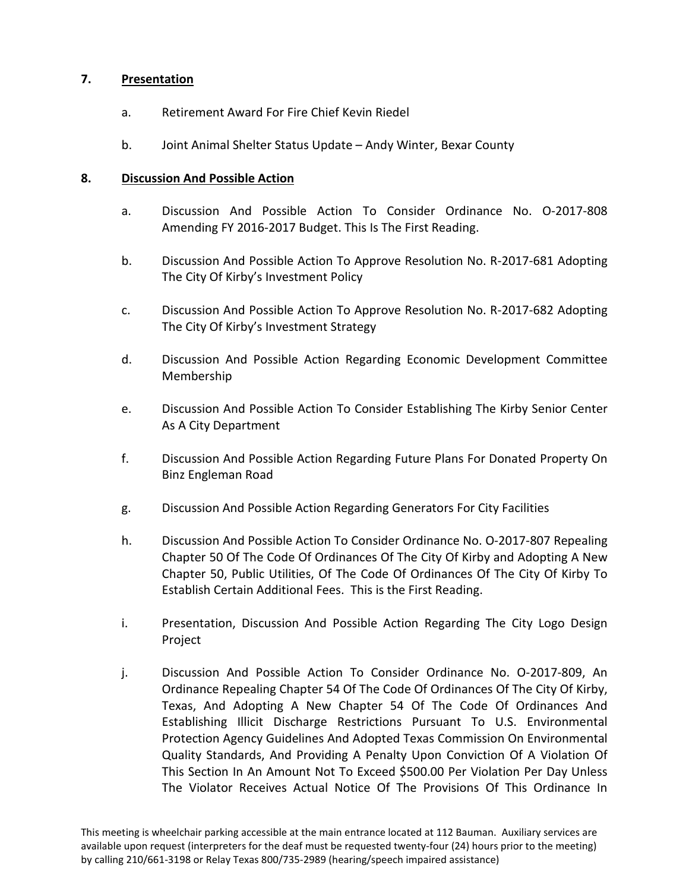# **7. Presentation**

- a. Retirement Award For Fire Chief Kevin Riedel
- b. Joint Animal Shelter Status Update Andy Winter, Bexar County

### **8. Discussion And Possible Action**

- a. Discussion And Possible Action To Consider Ordinance No. O-2017-808 Amending FY 2016-2017 Budget. This Is The First Reading.
- b. Discussion And Possible Action To Approve Resolution No. R-2017-681 Adopting The City Of Kirby's Investment Policy
- c. Discussion And Possible Action To Approve Resolution No. R-2017-682 Adopting The City Of Kirby's Investment Strategy
- d. Discussion And Possible Action Regarding Economic Development Committee Membership
- e. Discussion And Possible Action To Consider Establishing The Kirby Senior Center As A City Department
- f. Discussion And Possible Action Regarding Future Plans For Donated Property On Binz Engleman Road
- g. Discussion And Possible Action Regarding Generators For City Facilities
- h. Discussion And Possible Action To Consider Ordinance No. O-2017-807 Repealing Chapter 50 Of The Code Of Ordinances Of The City Of Kirby and Adopting A New Chapter 50, Public Utilities, Of The Code Of Ordinances Of The City Of Kirby To Establish Certain Additional Fees. This is the First Reading.
- i. Presentation, Discussion And Possible Action Regarding The City Logo Design Project
- j. Discussion And Possible Action To Consider Ordinance No. O-2017-809, An Ordinance Repealing Chapter 54 Of The Code Of Ordinances Of The City Of Kirby, Texas, And Adopting A New Chapter 54 Of The Code Of Ordinances And Establishing Illicit Discharge Restrictions Pursuant To U.S. Environmental Protection Agency Guidelines And Adopted Texas Commission On Environmental Quality Standards, And Providing A Penalty Upon Conviction Of A Violation Of This Section In An Amount Not To Exceed \$500.00 Per Violation Per Day Unless The Violator Receives Actual Notice Of The Provisions Of This Ordinance In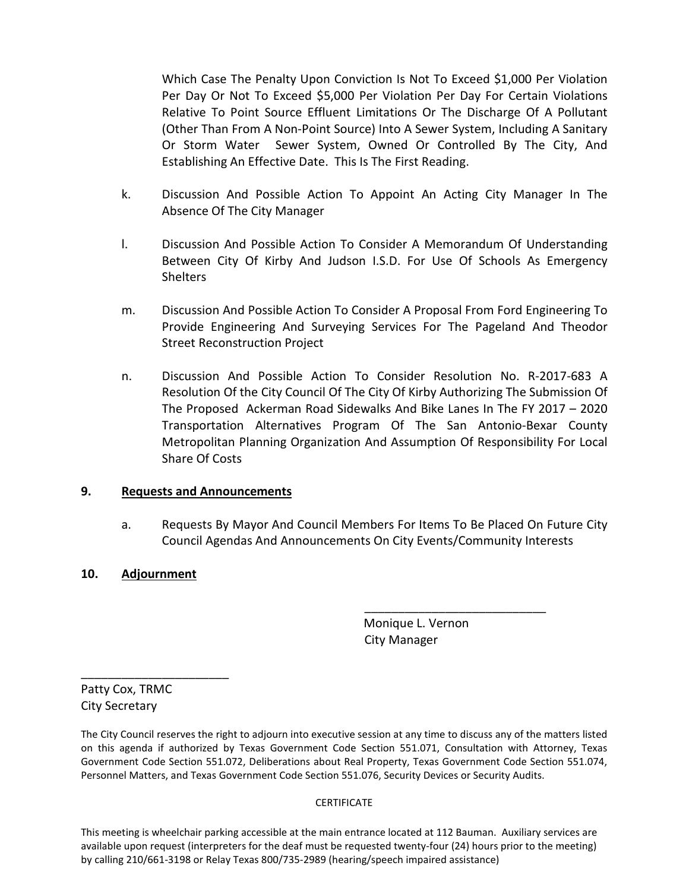Which Case The Penalty Upon Conviction Is Not To Exceed \$1,000 Per Violation Per Day Or Not To Exceed \$5,000 Per Violation Per Day For Certain Violations Relative To Point Source Effluent Limitations Or The Discharge Of A Pollutant (Other Than From A Non-Point Source) Into A Sewer System, Including A Sanitary Or Storm Water Sewer System, Owned Or Controlled By The City, And Establishing An Effective Date. This Is The First Reading.

- k. Discussion And Possible Action To Appoint An Acting City Manager In The Absence Of The City Manager
- l. Discussion And Possible Action To Consider A Memorandum Of Understanding Between City Of Kirby And Judson I.S.D. For Use Of Schools As Emergency **Shelters**
- m. Discussion And Possible Action To Consider A Proposal From Ford Engineering To Provide Engineering And Surveying Services For The Pageland And Theodor Street Reconstruction Project
- n. Discussion And Possible Action To Consider Resolution No. R-2017-683 A Resolution Of the City Council Of The City Of Kirby Authorizing The Submission Of The Proposed Ackerman Road Sidewalks And Bike Lanes In The FY 2017 – 2020 Transportation Alternatives Program Of The San Antonio-Bexar County Metropolitan Planning Organization And Assumption Of Responsibility For Local Share Of Costs

# **9. Requests and Announcements**

a. Requests By Mayor And Council Members For Items To Be Placed On Future City Council Agendas And Announcements On City Events/Community Interests

# **10. Adjournment**

 Monique L. Vernon City Manager

\_\_\_\_\_\_\_\_\_\_\_\_\_\_\_\_\_\_\_\_\_\_\_\_\_\_\_

Patty Cox, TRMC City Secretary

\_\_\_\_\_\_\_\_\_\_\_\_\_\_\_\_\_\_\_\_\_\_

The City Council reserves the right to adjourn into executive session at any time to discuss any of the matters listed on this agenda if authorized by Texas Government Code Section 551.071, Consultation with Attorney, Texas Government Code Section 551.072, Deliberations about Real Property, Texas Government Code Section 551.074, Personnel Matters, and Texas Government Code Section 551.076, Security Devices or Security Audits.

#### **CERTIFICATE**

This meeting is wheelchair parking accessible at the main entrance located at 112 Bauman. Auxiliary services are available upon request (interpreters for the deaf must be requested twenty-four (24) hours prior to the meeting) by calling 210/661-3198 or Relay Texas 800/735-2989 (hearing/speech impaired assistance)